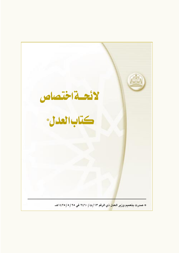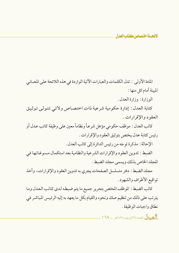المادة الأولى : تدل الكلمات والعبارات الآتية الواردة في هذه اللائحة على المعــاني المبينة أمام كل منها :

الوزارة: وزارة العدل.

كتابة العدل: إدارة حكومية شرعية ذات اختصاص ولائي تتولى توثيق العقو د و الإقرارات .

كاتب العدل : موظف حكومي مؤهل شرعاً ونظاماً معين على وظيفة كاتب عدل أو رئيس كتابة عدل يختص بتوثيق العقود والإقرارات .

الإحالة : مذكرة توجه من رئيس الدائرة إلى كاتب العدل .

الضبط : تدوين العقود والإقرارات الشرعية والنظامية بعد استكمال مسوغاتها في المجلد الخاص بذلك ويسمى مجلد الضبط .

مجلد الضبط : دفتر متسلسل الصفحات يجرى به تدوين العقود والإقرارات، وأخذ تواقيع الأطراف والشهود.

كاتب الضبط : الموظف المختص بتحرير جميع ما يتم ضبطه لدى كاتب العدل وما يترتب على ذلك من تنظيم صك ونحوه والقيام بكل ما يعهد به إليه الرئيس المباشر في نطاق واجبات الو ظيفة .

 $\frac{1}{2}$ هر العدد (٢٢) رجب ١٤٢٥هـ = ١٦٨ ــ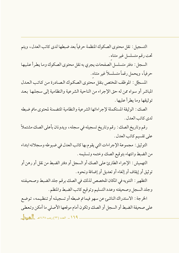التسجيل : نقل محتوى الصكوك المنظمة حرفياً بعد ضبطها لدى كاتب العدل ، ويتم تحت رقم متسلسل غير متناه .

السجل : دفتر متسلسل الصفحات يجرى به نقل محتوى الصكوك وما يطرأ عليها حرفياً، ويحمل رقماً متسلسلاً غير متناه.

المسجِّل: الموظف المختص بنقل محتوى الصكوك الصيادرة من كاتب العدل المباشر أو سواه ممن له حق الإجراء من الناحية الشرعية والنظامية إلى سجلها بعد تو ثيقها وما يطرأ عليها .

الصك : الوثيقة المستكملة لإجراءاتها الشرعية والنظامية المتضمنة لمحتوى ماتم ضبطه لدى كاتب العدل .

رقم وتاريخ الصك : رقم وتاريخ تسجيله في سجله ، ويدونان بأعلى الصك مشتملاً على تقسيم كاتب العدل .

التوثيق : مجموعة الإجراءات التي يقوم بها كاتب العدل في ضبوطه وسجلاته ابتداء من الضبط وانتهاء بتوقيع الصك وختمه وتسليمه .

التهميش : الإجراء الطارئ على الصك أو السجل أو دفتر الضبط من نقل أو رهن أو توثيق أو إيقاف أو إلغاء أو تعديل أو إضافة ونحوه .

التظهير : التنويه في المكان المخصص لذلك في الصك برقم جلد الضبط وصحيفته وجلد السجل وصحيفته وعدد التسليم وتوقيع كاتب الضبط والمنظم .

الخرجة : الاستدراك الناشئ عن سهو فيماتم ضبطه أو تسجيله أو تنظيمه، توضع على صحيفة الضبط أو السجل أو الصك وتكون أمام موقعها الأصلي ما أمكن وتعطى 179 ــ العدد (٢٣) رجب ١٤٢٥هـ ـ الصيدا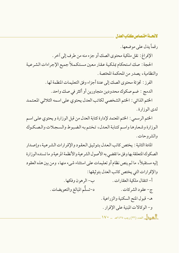رقماً يدل على موضعها . الإفراغ : نقل ملكية محتوى الصك أو جزء منه من طرف إلى آخر . الحجة : صك استحكام بملكية عقار معين مستكملاً جميع الإجراءات الشرعية والنظامية، يصدر من المحكمة المختصة . الفرز : تجزئة محتوى الصك إلى عدة أجزاء وفق التعليمات المنظمة لها . الدمج : ضم صكوك محدودين متجاورين أو أكثر في صك واحد . الختم الذاتي : الختم الشخصي لكاتب العدل يحتوي على اسمه الثلاثي المعتمد لدي الو زارة .

الختم الرسمي : الختم المعتمد لإدارة كتابة العدل من قبل الوزارة و يحتوي على اسم الوزارة وشعارها واسم كتابة العدل، تختم به الضبوط والسجلات والصكوك والشروحات .

المادة الثانية : يختص كاتب العدل بتو ثبق العقود والإقرارات الشرعية ، وإصدار الصكوك المتعلقة بها وفق ما تقضي به الأصول الشرعية والأنظمة المرعية و ما تسنده الوزارة إليه مستقبلاً، ما لم ينص نظام أو تعليمات على استثناء شيء منها، ومن بين هذه العقود والإقرارات التي يختص كاتب العدل بتوثيقها :

> ب– الرهون وفكها . أ- انتقال ملكية العقارات . د-تسلُّم المبالغ والتعويضات . ج- عقود الشركات . هـ- قبول المنح السكنية والزراعية . و- الوكالات المبنية على الإقرار .  $\mathcal{W}^* = \text{RHS}(\mathcal{W}) \rightarrow \text{RHS}$ اهـ $\blacksquare$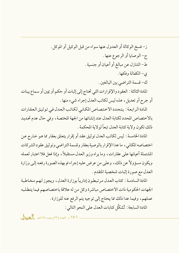ز– فسخ الوكالة أو العدول عنها سواء من قبل الوكيل أو الموكل . ح- الوصايا أو الرجوع عنها . ط- التنازل عن مبالغ أو أعيان أو جنسية . ى- الكفالة وفكها . ك- قسمة التراضي بين البالغين . المادة الثالثة : العقود والإقرارات التي تحتاج إلى إثبات أو حكم أو يمين أو سماع بينات

أو جرح أو تعديل، هذه ليس لكاتب العدل إجراء شيء منها .

المادة الرابعة : يتحدد الاختصاص المكانى لكاتب العدل في توثيق العقارات بالاختصاص المحدد لكتابة العدل عند إنشائها من الجهة المختصة، وفي حال عدم تحديد ذلك تكون ولاية كتابة العدل تبعاً لو لاية المحكمة .

المادة الخامسة : ليس لكاتب العدل توثيق عقد أو إقرار يتعلق بعقار مما هـو خـارج عـن اختصاصه المكاني ، ما عدا الإقرار بالو صية بعقار وقسمة التر اضي وتو ثيق عقود الشر كات المشتملة أعيانها على عقارات، وما يراه وزير العدل مستقبلاً، وإذا فعل فلا اعتبار لعمله ويكون مسؤولاً عن ذلك، وعلى من عرض عليه إجراءتم بهذه الصورة رفعه إلى وزارة العدل مع صورة إثبات شخصية المتقدم .

المادة السادسة : كتاب العدل مرتبطون إدارياً بوزارة العدل، ويجوز لهم مخاطبة الجهات الحكومية ذات الاختصاص مباشرة وكل من له علاقة باختصاصهم فيما يتطلبه عملهم، وفيما عدا ذلك مما يحتاج إلى توجيه يتم الرفع عنه للوزارة . المادة السابعة : تُشكَّل كتابات العدل على النحو التالي :

١٧١ ــ العدد (٢٣) رجب ١٤٢٥هـ المعط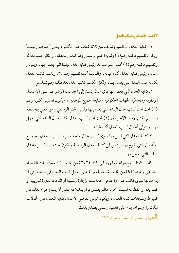١ – كتابة العدل الرئاسية وتتألف من ثلاثة كتاب عدل فأكثر ، يعين أحدهم رئيسـاً ويكون تقسيم مكتبه رقم(١) ولديه الختم الرسمي وهو المعنى بحفظه، والثاني مساعداً له وتقسيم مكتبه رقم (٢) تحت اسم مساعد رئيس كتابة عدل البلدة التي يعمل بها، ويتولى أعمال رئيس كتابة العدل أثناء غيابه، والثالث تحت تقسيم رقم (٣) وباسم كاتب العدل بكتابة عدل البلدة التي يعمل بها، ولكل مكتب كاتب عدل بعد ذلك رقم تسلسلي .

٢ـ كتابة العدل التي يعمل بها كاتبا عدل يسند إلى أحدهما الإشر اف على الأعمال الإدارية ومخاطبة الجهات الحكومية ومتابعة جميع الموظفين، ويكون تقسيم مكتبه رقم (١) تحت اسم كاتب عدل البلدة التي يعمل بها ولديه الختم الرسمي وهو المعنى بحفظه وتقسيم مكتب زميله الآخر رقم (٢) تحت اسم كاتب العدل بكتابة عدل البلدة التي يعمل بها، ويتولى أعمال كاتب العدل أثناء غيابه .

٣ـ كتابة العدل التي ليس بها سوى كاتب عدل واحد يقوم كاتب العدل بجميع الأعمال التي يقوم بها الرئيس في كتابة العدل الرئاسية ويكون تحت اسم كاتب عدل البلدة التي يعمل بها .

المادة الثامنة : مع مراعاة ما ورد في المادة (٢٥٢) من نظام تركيز مسؤوليات القضاء الشرعي والمادة (٩٤) من نظام القضاء يقوم القاضي بعمل كاتب العدل في البلدة التي لا يوجد بها سوى كاتب عدل واحد في حالة تمتعه بإجازة رسمية أو التحاقه بدورة تدريبية أو كف يده أو انقطاعه لسبب آخر ، مالم يصدر قرار بخلافه علىي أن يتم إجراء ذلك في ضبوط وسجلات كتابة العدل، ويكون تولى القاضي لأعمال كتابة العدل في الحالات المذكورة وسواها بناء على تعميد رسمي يصدر بذلك .

 $\frac{1}{2}$ ه بالعدد (٢٣) رجب ١٤٢٥هـ - ١٧٢ -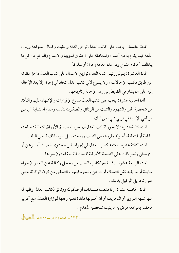المادة التاسعة : يجب على كاتب العدل توخي الدقة والتثبت وكمال النـزاهـة وإبراء الذمة فيما يقوم به من أعمال والمحافظة على الحقوق لذويها والامتناع والترفع عن كل ما يخالف أحكام الشرع وقواعده العامة إجراءً أو سلوكاً .

المادة العاشرة : يتولى رئيس كتابة العدل تو زيع الأعمال على كتاب العدل داخل دائر ته عن طريق مكتب الإحالات، ولا يسوغ لأي كاتب عدل اتخاذ أي إجراء إلا بعد الإحالة إليه على أن يشار في الضبط إلى رقم الإحالة وتاريخها .

المادة الحادية عشرة : يجب على كاتب العدل سماع الإقرارات والإشهاد عليها والتأكد من شخصية المقر والشهود والتثبت من الو ثائق والصكوك بنفسه وعدم استنابة أي من موظفى الإدارة في تولى شيء من ذلك .

المادة الثانية عشرة : لا يجوز لكاتب العدل أن يحرر أو يصدق الأوراق المتعلقة بمصلحته الذاتية أو المتعلقة بأصوله وفروعه من النسب وزوجته ، بل يقوم بذلك قاضي البلد .

المادة الثالثة عشرة : يعتمد كاتب العدل في إجراء نقل محتوى الصك أو الرهن أو التهميش ونحو ذلك على النسخة الأصلية للصك المقدمة له دون سواها .

المادة الرابعة عشرة : إذا تقدم لكاتب العدل من يحمل وكالة عن الغير لإجراء مبايعة أو ما يفيد نقل التملك أو الرهن ونحوه فيجب التحقق من كون الوكالة تنص على تخويل الوكيل بذلك .

المادة الخامسة عشرة : إذا قدمت مستندات أو صكوك ووثائق لكاتب العدل وظهر له منها شبهة التزوير أو التحريف أو أن أصولها ملغاة فعليه رفعها لوزارة العدل مع تحرير محضر بالواقعة مرفق به ما يثبت شخصية المتقدم .

 $\frac{1}{\sqrt{2}}$ العدد (٢٣) رجب ١٤٢٥هـ  $\frac{1}{\sqrt{2}}$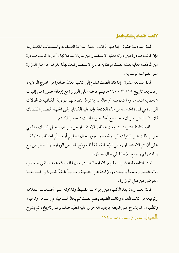المادة السادسة عشرة : إذا ظهر لكاتب العدل سلامة الصكوك والمستندات المقدمة إليه فإن كانت صادرة من إدارته فعليه الاستفسار عن سريان سجلاتها، أما إذا كانت صادرة من المحكمة فعليه بعث الصك مر فقاً به غو ذج الاستفسار المعد لهذا الغر ض من قبل الو زارة عبر القنوات الرسمية .

المادة السابعة عشرة : إذا كان الصك المقدم إلى كاتب العدل صادراً من خارج الولاية ، وكان بعد تاريخ ١٤٠١/ ٣/ ١٤٠٠هـ فيتم عرضه على الوزارة مع إرفاق صورة من إثبات شخصية المتقدم، وما كان قبله أو حاله لم يشترط النظام لها الولاية المكانية كالحالات الواردة في المادة الخامسة من هذه اللائحة فإن عليه الكتابة إلى الجهة المصدرة للصك للاستفسار عن سريان سجله مع أخذ صورة إثبات شخصية المتقدم .

المادة الثامنة عشرة : يتم بعث خطاب الاستفسار عن سريان سجل الصك وتلقى جواب ذلك عبر القنوات الرسمية، ولا يجوز بحال تسليم أو تسلَّم الخطاب مناولة . على أن يتم الاستفسار وتلقى الإجابة وفقاً للنموذج المعد من الوزارة لهذا الغرض مع إثبات رقم وتاريخ الإجابة في حال ضبطها .

المادة التاسعة عشرة: تقوم الإدارة الصادر منها الصك عند تلقى خطاب الاستفسار رسمياً بالبحث والإفادة عن النتيجة رسمياً طبقاً للنموذج المعد لهذا الغرض من قبل الوزارة .

المادة العشرون : بعد الانتهاء من إجراءات الضبط وتلاوته على أصحاب العلاقة وتوقيعه من كاتب العدل وكاتب الضبط ينظم الصك ثم يحال لتسجيله في السجل وتر قيمه وتظهيره، ثم يشرح على ضبطه بما يفيد أنه جرى عليه تنظيم صك برقم وتاريخ، ثم يشرح  $\frac{1}{2}$ ه بطل العدد (٢٣) رجب ١٤٢٥هـ ــ ١٧٤ ــ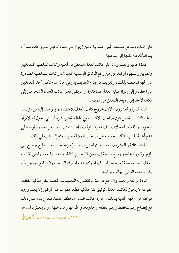على صك وسجل مستنده المبنى عليه بماتم من إجراء مع ختم وتوقيع الشروحات بعد أن يتم التأكد من نقلها إلى سجلها .

المادة الحادية والعشر ون : على كاتب العدل التحقق من أهلية وإثبات شخصية المتعاقدين والمقرين والشهو د أو المعر فين من واقع الو ثائق الر سمية المعتبر ة في إثبات الشخصية الصادرة من الجهة المختصة بذلك ، وتعريف من يلز م التعريف به وفي حال عدم تمكن أحد المتعاقدين من الحضور إلى إدراة كتابة العدل كـمُخدَّرة أو مريض فعلى كاتب العدل الشخوص إلى مكانه لأخذ إقراره بعد التحقق من هويته .

المادة الثانية والعشرون : لايتم خروج كاتب العدل للاقتضاء إلا بالإحالة إليه من رئيسه ، وعليه التأكد بدقة من كون صاحب الاقتضاء في الحالة المعتبرة شرعاً والتي تخول له الإقرار ونحوه، وإذا تبين له خلاف ذلك فعليه التوقف وإعداد مشهد يفيد خروجه ووقوفه على عدم أهلية طالب الاقتضاء، ويعطي صاحب العلاقة صورة منه إذا رغب في ذلك .

المادة الثالثة و العشرون : بعد الانتهاء من ضبط الإجراء يجب أخذ توقيع جميع من يلزم توقيعهم عليه و وضع بصمة إبهام من لا يحسن كتابة اسمه وتوقيعه، وليس لكاتب العدل ضبط معاملة لم يحضر أطرافها أو وكلاؤهم أو ترك الضبط دون توقيع، ويجب أن يكون ختمه الذاتي بجانب توقيعه .

المادة الرابعة والعشرون : مع مراعاة ما تقضى به التعليمات المنظمة لنقل ملكية القطعة المفرغة لا يجوز لكاتب العدل توثيق نقل ملكية قطعة مفرغة من أرض إلا بعد ورود موافقة من الجهة المعنية بذلك، أما إذا كانت ضمن مخطط معتمد فتفرغ بناء على ذلك مع إيضاح رقم المخطط ورقم القطعة وحدودها وأطوالها ومساحتها . وما يتعلق بالمساحة  $\frac{1}{\sqrt{2}}$ العدد (٢٣) (حب ١٤٢٥هـ  $\frac{1}{\sqrt{2}}$ هـا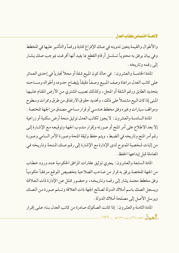والأطوال والقيمة يتعين تدوينه في صك الإفراغ كتابة ورقماً والتأشير عليها في المخطط وفي بيان يرفق به محتوياً تسلسل أرقام القطع بما يفيد أنها أفرغت بموجب صك يشار إلى رقمه وتاريخه .

المادة الخامسة والعشرون : في حالة كون المبيع شقة أو محلاً تجارياً في إحدى العمائر على كاتب العدل مراعاة وصف المبيع وصفاً دقيقاً بإيضاح حدوده وأطواله ومساحته بتحديد الطابق ورقم الشقة أو المحل، وكذلك نصيب المشتري من الأرض المقام عليها المبنى إذا كان البيع مشتملاً على ذلك، وتحديد حقوق الارتفاق من طرق وممر ات وسطوح ومو اقف سيارات وغير ه وفق مخطط هندسي أو قر ار مساحي مصدق من الجهة المختصة .

المادة السادسة والعشرون : لا يجوز لكاتب العدل تو ثبق منحة أرض سكنية أو زراعية إلا بعد الاطلاع على أمر المنح أو صورته وإقرار مندوب الجهة وتوقيعه مع الإشارة إلى رقم أمر المنح وتاريخه في الضبط، ويتم حفظ وثيقة المنحة وصورة الأمر السامي وصورة من إثبات شخصية الممنوح لدى الإدارة مع الإشارة إلى رقم صك المنحة وتاريخه في المعاملة قبل إيداعها الحفظ.

المادة السابعة والعشرون : يجرى توثيق عقارات المرافق الحكومية عند ورود خطاب من الجهة المختصة ير فق به قرار من صاحب الصلاحية بتخصيص الموقع مر فقاً حكومياً وفق مخطط معتمد يشار إلى رقمه وتاريخه، وحضور ممثل عن الإدارة ذات العلاقة ويسجل الصك باسم أملاك الدولة لصالح الجهة ذات العلاقة وتسلم صورة من الصك ويوسل الأصل إلى مصلحة أملاك الدولة .

المادة الثامنة والعشرون : إذا كانت الصكوك صادرة من كاتب العدل بناء على إقرار  $1V$ حداد (٢٣) رجب ١٤٢٥هـ ــ ١٧٦]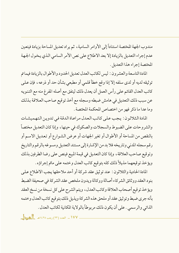مندوب الجهة المختصة استناداً إلى الأوامر السامية، ثم يراد تعديل المساحة بزيادة فيتعين عدم إجراء التعديل بالزيادة إلا بعد الاطلاع على نص الأمر السامي الذي يخول الجهة المختصة إجراء هذا التعديل.

المادة التاسعة والعشر ون : ليس لكاتب العدل تعديل الحدود والأطوال بالزيادة فيماتم توثيقه لديه أو لدى سلفه إلا إذا وقع خطأ قلمي أو مطبعي بشأن حد أو ذرعه ، فإن على كاتب العدل القائم على رأس العمل أن يعدل ذلك ليتفق مع أصله المفرغ منه مع التنويه عن سبب ذلك التعديل في هامش ضبطه وسجله مع أخذ توقيع صاحب العلاقة بذلك وما عدا ما ذكر فهو من اختصاص المحكمة المختصة .

المادة الثلاثون: يجب على كاتب العدل مراعاة الدقة في تدوين التهميشات والشروحات على الضبوط والسجلات والصكوك في حينها، وإذا كان التعديل مختصاً بالنقص من المساحة أو الأطوال أو تغير الجهات أو عرض الشوارع أو تعديل الاسم أو رقم سجله المدنى وتاريخه فلا بد من الإشارة إلى مستند التعديل ومسوغه بالرقم والتاريخ وتوقيع صاحب العلاقة ، وإذا كان التعديل في قيمة المبيع فينص على رضا الطرفين بذلك ويؤخذ توقيعهما مذيلاً ذلك كله بتوقيع كاتب العدل وختمه على ماتم إجراؤه .

المادة الحادية والثلاثون : عند توثيق عقد شركة أو أحد ملاحقها يجب الاطلاع على بنود العقد ووثائق الشركاء أصالة ووكالة ويدون ملخص عقد الشركة في صحيفة الضبط ويؤخذ توقيع أصحاب العلاقة وكاتب العدل، ويتم الشرح على كل نسخة من نسخ العقد بأنه جرى ضبط وتوثيق عقد أو ملحق هذه الشركة ويذيل ذلك بتوقيع كاتب العدل وختمه الذاتي والرسمي . على أن يكون ذلك مربو طاً بالو لاية المكانية لكاتب العدل .

 $\frac{1}{\sqrt{2}}$ العدد (٢٣) رجب ١٤٢٥هـ  $\frac{1}{\sqrt{2}}$ هيما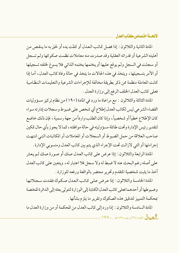المادة الثانية والثلاثون : إذا فصل كاتب العدل أو كفّت يده أو لحق به ما ينقص من أهليته الشرعية أو قدراته العقلية وقد صدرت منه معاملات نظمت صكو كها ولم تسجل أو سجلت في السجل ولم يوقع عليها أو يختمها بختمه الذاتي فلا يسوغ لخلفه تسجيلها أو الأمر بتسجيلها، ويتخذ في هذه الحالات ما يتخذ في حالة وفاة كاتب العدل، أما إذا كانت المعاملة منظمة ممن ذكر بطريقة مخالفة للإجراءات الشرعية والتعليمات النظامية فعلى كاتب العدل الخلف الرفع إلى وزارة العدل .

المادة الثالثة والثلاثون : مع مراعاة ما ورد في المادة (١٩٠) من نظام تركيز مسؤوليات القضاء الشرعي ليس لكاتب العدل إطلاع أي شخص على ضبوط وسجلات إدارته سواء كان الإطلاع خطياً أو شخصياً، وإذا كان الطلب وارداً من جهة رسمية ، فإن ذلك خاضع لتقدير رئيس الإدارة وتحت طائلة مسؤوليته في حالة موافقته ، كما لا يجوز بأي حال تمكين صاحب العلاقة من حمل الضبوط أو السجلات أو المعاملات أو المكاتبات التبي انتهت إجراءتها أو التي لازالت تحت الإجراء الذي يتم بين كاتب العدل ومنسوبي الإدارة .

المادة الرابعة والثلاثون : إذا عرض على كاتب العدل صك أو صورة صك لم يعثر على أصله رغم البحث عنه لا ضبط له ولا سجل فلا اعتبار له ، ويتعين على كاتب العدل أخذ ما يثبت شخصية المتقدم وتحرير محضر بالواقعة ورفعه للوزارة .

المادة الخامسة والثلاثون: إذا عرض على كاتب العدل صكوك فقدت سجلاتها وضبو طها أو أحدهما فعلى كاتب العدل الكتابة إلى الو زار ة لتتولى بعثه إلى الدائر ة المختصة بمحكمة التمييز لتدقيق هذه الصكوك وتقرير ما يلزم بشأنها .

المادة السادسة والثلاثون: إذا ورد إلى كاتب العدل من المحكمة أو من وزارة العدل ما  $N$ له العدد (٢٣) رجب ١٤٢٥هـ ــ ١٧٨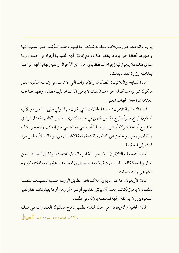يوجب التحفظ على سجلات صكوك شخص ما فيجب عليه التأشير على سجلاتها وحجزها تحفظاً حتى يرد ما ينقض ذلك، مع إفادة الجهة المعنية بما أجراه في حينه، وما سوى ذلك فلا يجوز فيه إجراء التحفظ بأي حال من الأحوال وعليه إفهام الجهة الراغبة بمخاطبة وزارة العدل بذلك .

المادة السابعة والثلاثون: الصكوك والإقرارات التي لا تستند في إثبات الملكية على صكوك شرعية مستكملة إجراءات التملك لا يجوز الاعتماد عليها مطلقاً، ويفهم صاحب العلاقة بمراجعة الجهات المعنية .

المادة الثامنة والثلاثون : ما عدا الحالات التي يكون فيها الولى على القاصر هو الأب أو كون البائع مقراً بالبيع وقبض الثمن في حياة المشترى، فليس لكاتب العدل توثيق عقد بيع أو عقد شركة أو شراء أو مناقلة أو ما في معناها في حق الغائب والمحجو ر عليه و القاصر ومن هو عاجز عن النطق والكتابة ولغة الإشارة ومن هو فاقد الأهلية بل مرد ذلك إلى المحكمة .

المادة التاسعة والثلاثون : لا يجوز لكاتب العدل اعتماد الوثائق الصادرة من خبارج المملكة العربية السعو دية إلا بعد تصديق وزارة العدل عليها ومو افقتها للوجه الشرعي والتعليمات .

المادة الأربعون : ما عدا ما يؤول للأشخاص بطريق الإرث حسب التعليمات المنظمة لذلك، لا يجوز لكاتب العدل أن يوثق عقد بيع أو شراء أو رهن أو ما يفيد تملك عقار لغير السعوديين إلا بموافقة الجهة المختصة بالإذن في ذلك .

المادة الحادية والأربعون: في حال التقدم بطلب إدماج صكوك العقارات في صك  $\frac{1}{\sqrt{2}}$ العدد (٢٣) رجب ١٤٢٥هـ  $\frac{1}{\sqrt{2}}$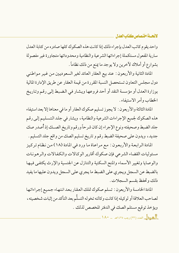واحد يقوم كاتب العدل بإجراء ذلك إذا كانت هذه الصكوك كلها صادره من كتابة العدل سارية المفعول مستكملة إجراءاتها الشرعية والنظامية ومحدوداتها متجاورة غير مفصولة بشوارع أو أملاك لآخرين ولا يوجد ما يمنع من ذلك نظاماً .

المادة الثانية والأربعون: عند بيع العقار العائد لغير السعوديين من غير مواطني دول مجلس التعاون تستحصل النسبة المقررة من قيمة العقار عن طريق الإدارة المالية بوزارة العدل أو مؤسسة النقد أو أحد فروعها ويشار في الضبط إلى رقم وتاريخ الخطاب وأمر الاستيفاء .

المادة الثالثة والأربعون : لا يجوز تسليم صكوك العقار أو ما في معناها إلا بعد استيفاء هذه الصكوك لجميع الإجراءات الشرعية والنظامية، ويشار في جلد التسليم إلىي رقم جلد الضبط وصحيفته ونوع الإجراء إن كان شرحاً ورقم وتاريخ الصـك إذ أُصدر صك جديد، ويدون على صحيفة الضبط رقم و تاريخ تسليم الصك من واقع جلد التسليم .

المادة الرابعة والأربعون: مع مراعاة ما ورد في المادة (١٨) من نظام تركيز مسئوليات القضاء الشرعي فإن صكوك أقارير الوكالات والكفالات والرهونات والوصايا وتغيير الأسماء والمنح السكنية والتنازل عن الجنسية والإرث يكتفي فيها بالضبط عن السجل ويجرى على الضبط ما يجرى على السجل ويدون عليها ما يفيد ذلك وتحفظ بقسم السجلات .

المادة الخامسة والأربعون: تسلم صكوك تملك العقار بعد انتهاء جميع إجراءاتها لصاحب العلاقة أو لوكيله إذا كانت وكالته تخوله التسلُّم بعد التأكد من إثبات شخصيته ، ويؤخذ توقيع مستلم الصك في الدفتر المخصص لذلك .  $\mathbb{R}$ ه بطل العدد (٢٢) رجب ١٤٢٥هـ  $\mathbb{R}^3$  – ۱۸۰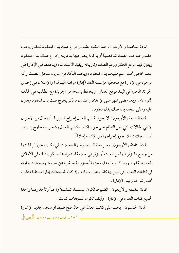المادة السادسة والأربعون : عند التقدم بطلب إخراج صك بدل المفقود لعقار يجب حضور صاحب الصك شخصياً أو بوكالة ينص فيها بتخويله إخراج صك بدل مفقود ويعين فيها موقع العقار ورقم الصك وتاريخه ويقيد الاستدعاء ويحفظ في الإدارة في ملف خاص تحت اسم طلبات بدل المفقود، ويجب التأكد من سريان سجل الصك وأنه موجود في الإدارة مع مخاطبة مؤسسة النقد (إدارة مراقبة البنوك) والإعلان في إحدى الجرائد المحلية في البلد موقع العقار ، ويحتفظ بنسخة من الجريدة مع الطلب في الملف المنوه عنه، وبعد مضى شهر على الإعلان واكتمال ما ذكر يخرج صك بدل المفقود ويدون عليه وعلى سجله بأنه صك بدل مفقود .

المادة السابعة والأربعون : لا يجوز لكاتب العدل إخر اج الضبوط بأي حال من الأحوال إلا في الحالات التي نص النظام على جو از اقتضاء كاتب العدل وشخوصه خارج إدارته ، أما السجلات فلا يجوز إخراجها من الإدارة إطلاقاً .

المادة الثامنة والأربعون : يجب حفظ الضبوط والسجلات في مكان محرز لوقايتها من جميع ما يؤثر فيها من العبث أو يؤثر في سلامة استمرارها، ويكون ذلك في الأماكن المخصصة لها، ويعد كاتب العدل مسؤولاً مسؤولية مباشرة عن ضبوط وسجلات إدارته في كتابات العدل التي ليس بها كاتب عدل سواه ، وإذا كان للسجلات إدارة مستقلة فتكون تحت إشراف رئيس الإدارة .

المادة التاسعة والأربعون : الضبوط تكون متسلسلة تسلسلاً واحداً وتأخذ رقماً واحداً لجميع كتاب العدل في الإدارة . وأيضا تكون السجلات كذلك .

المادة الخمسون : يجب على كاتب العدل في حال فتح ضبط أو سجل جديد الإشارة  $\frac{1}{\sqrt{1-\frac{1}{2}}}\cdot 1270$  (جب $(17)$ ) العدد